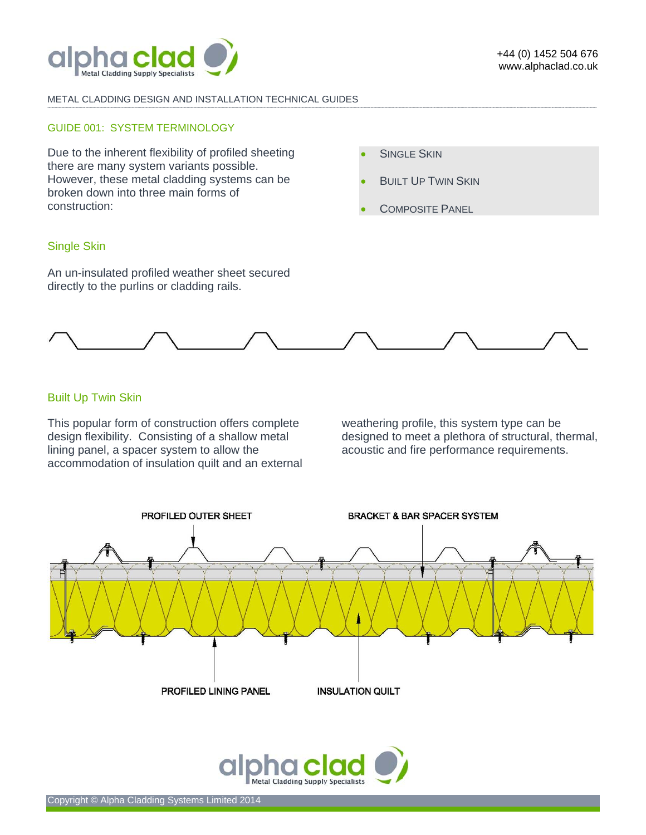

#### METAL CLADDING DESIGN AND INSTALLATION TECHNICAL GUIDES

#### GUIDE 001: SYSTEM TERMINOLOGY

Due to the inherent flexibility of profiled sheeting there are many system variants possible. However, these metal cladding systems can be broken down into three main forms of construction:

- **SINGLE SKIN**
- **BUILT UP TWIN SKIN**
- **COMPOSITE PANEL**

# Single Skin

An un-insulated profiled weather sheet secured directly to the purlins or cladding rails.



**-------------------------------------------------------------------------------------------------------------------------------------------------------------------------------------------------------------------------------------------------------------------------------------------------------------------------------------------------------------------------------------------------------** 

# Built Up Twin Skin

This popular form of construction offers complete design flexibility. Consisting of a shallow metal lining panel, a spacer system to allow the accommodation of insulation quilt and an external

weathering profile, this system type can be designed to meet a plethora of structural, thermal, acoustic and fire performance requirements.